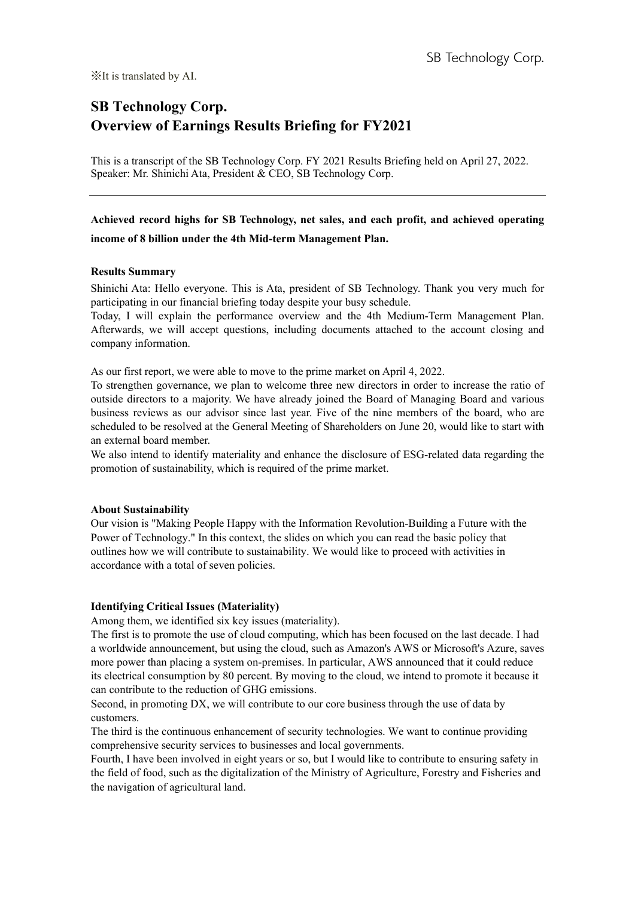# **SB Technology Corp. Overview of Earnings Results Briefing for FY2021**

This is a transcript of the SB Technology Corp. FY 2021 Results Briefing held on April 27, 2022. Speaker: Mr. Shinichi Ata, President & CEO, SB Technology Corp.

**Achieved record highs for SB Technology, net sales, and each profit, and achieved operating income of 8 billion under the 4th Mid-term Management Plan.** 

# **Results Summary**

Shinichi Ata: Hello everyone. This is Ata, president of SB Technology. Thank you very much for participating in our financial briefing today despite your busy schedule.

Today, I will explain the performance overview and the 4th Medium-Term Management Plan. Afterwards, we will accept questions, including documents attached to the account closing and company information.

As our first report, we were able to move to the prime market on April 4, 2022.

To strengthen governance, we plan to welcome three new directors in order to increase the ratio of outside directors to a majority. We have already joined the Board of Managing Board and various business reviews as our advisor since last year. Five of the nine members of the board, who are scheduled to be resolved at the General Meeting of Shareholders on June 20, would like to start with an external board member.

We also intend to identify materiality and enhance the disclosure of ESG-related data regarding the promotion of sustainability, which is required of the prime market.

# **About Sustainability**

Our vision is "Making People Happy with the Information Revolution-Building a Future with the Power of Technology." In this context, the slides on which you can read the basic policy that outlines how we will contribute to sustainability. We would like to proceed with activities in accordance with a total of seven policies.

# **Identifying Critical Issues (Materiality)**

Among them, we identified six key issues (materiality).

The first is to promote the use of cloud computing, which has been focused on the last decade. I had a worldwide announcement, but using the cloud, such as Amazon's AWS or Microsoft's Azure, saves more power than placing a system on-premises. In particular, AWS announced that it could reduce its electrical consumption by 80 percent. By moving to the cloud, we intend to promote it because it can contribute to the reduction of GHG emissions.

Second, in promoting DX, we will contribute to our core business through the use of data by customers.

The third is the continuous enhancement of security technologies. We want to continue providing comprehensive security services to businesses and local governments.

Fourth, I have been involved in eight years or so, but I would like to contribute to ensuring safety in the field of food, such as the digitalization of the Ministry of Agriculture, Forestry and Fisheries and the navigation of agricultural land.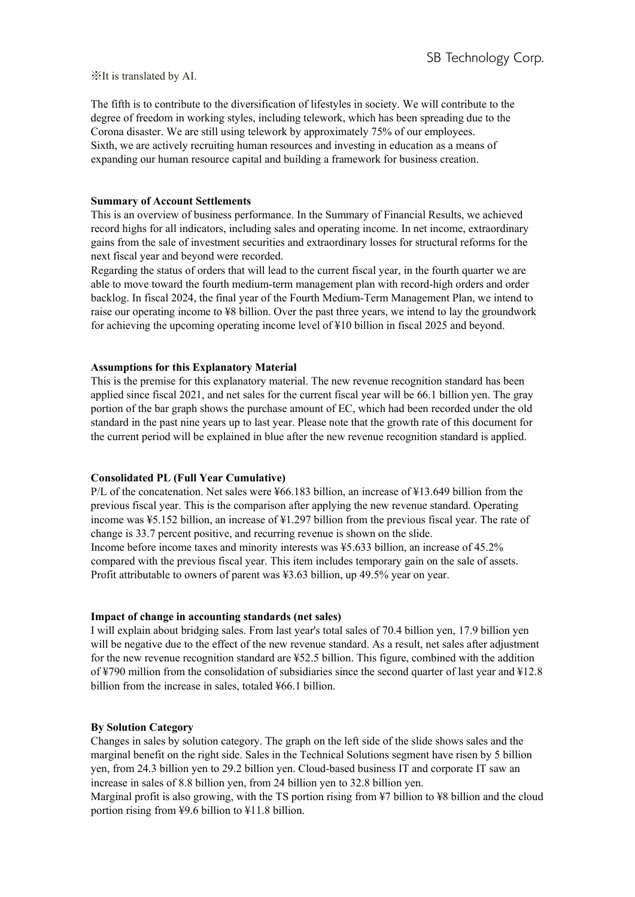The fifth is to contribute to the diversification of lifestyles in society. We will contribute to the degree of freedom in working styles, including telework, which has been spreading due to the Corona disaster. We are still using telework by approximately 75% of our employees. Sixth, we are actively recruiting human resources and investing in education as a means of expanding our human resource capital and building a framework for business creation.

## **Summary of Account Settlements**

This is an overview of business performance. In the Summary of Financial Results, we achieved record highs for all indicators, including sales and operating income. In net income, extraordinary gains from the sale of investment securities and extraordinary losses for structural reforms for the next fiscal year and beyond were recorded.

Regarding the status of orders that will lead to the current fiscal year, in the fourth quarter we are able to move toward the fourth medium-term management plan with record-high orders and order backlog. In fiscal 2024, the final year of the Fourth Medium-Term Management Plan, we intend to raise our operating income to ¥8 billion. Over the past three years, we intend to lay the groundwork for achieving the upcoming operating income level of ¥10 billion in fiscal 2025 and beyond.

## **Assumptions for this Explanatory Material**

This is the premise for this explanatory material. The new revenue recognition standard has been applied since fiscal 2021, and net sales for the current fiscal year will be 66.1 billion yen. The gray portion of the bar graph shows the purchase amount of EC, which had been recorded under the old standard in the past nine years up to last year. Please note that the growth rate of this document for the current period will be explained in blue after the new revenue recognition standard is applied.

# **Consolidated PL (Full Year Cumulative)**

P/L of the concatenation. Net sales were ¥66.183 billion, an increase of ¥13.649 billion from the previous fiscal year. This is the comparison after applying the new revenue standard. Operating income was ¥5.152 billion, an increase of ¥1.297 billion from the previous fiscal year. The rate of change is 33.7 percent positive, and recurring revenue is shown on the slide. Income before income taxes and minority interests was ¥5.633 billion, an increase of 45.2% compared with the previous fiscal year. This item includes temporary gain on the sale of assets. Profit attributable to owners of parent was ¥3.63 billion, up 49.5% year on year.

#### **Impact of change in accounting standards (net sales)**

I will explain about bridging sales. From last year's total sales of 70.4 billion yen, 17.9 billion yen will be negative due to the effect of the new revenue standard. As a result, net sales after adjustment for the new revenue recognition standard are ¥52.5 billion. This figure, combined with the addition of ¥790 million from the consolidation of subsidiaries since the second quarter of last year and ¥12.8 billion from the increase in sales, totaled ¥66.1 billion.

# **By Solution Category**

Changes in sales by solution category. The graph on the left side of the slide shows sales and the marginal benefit on the right side. Sales in the Technical Solutions segment have risen by 5 billion yen, from 24.3 billion yen to 29.2 billion yen. Cloud-based business IT and corporate IT saw an increase in sales of 8.8 billion yen, from 24 billion yen to 32.8 billion yen.

Marginal profit is also growing, with the TS portion rising from ¥7 billion to ¥8 billion and the cloud portion rising from ¥9.6 billion to ¥11.8 billion.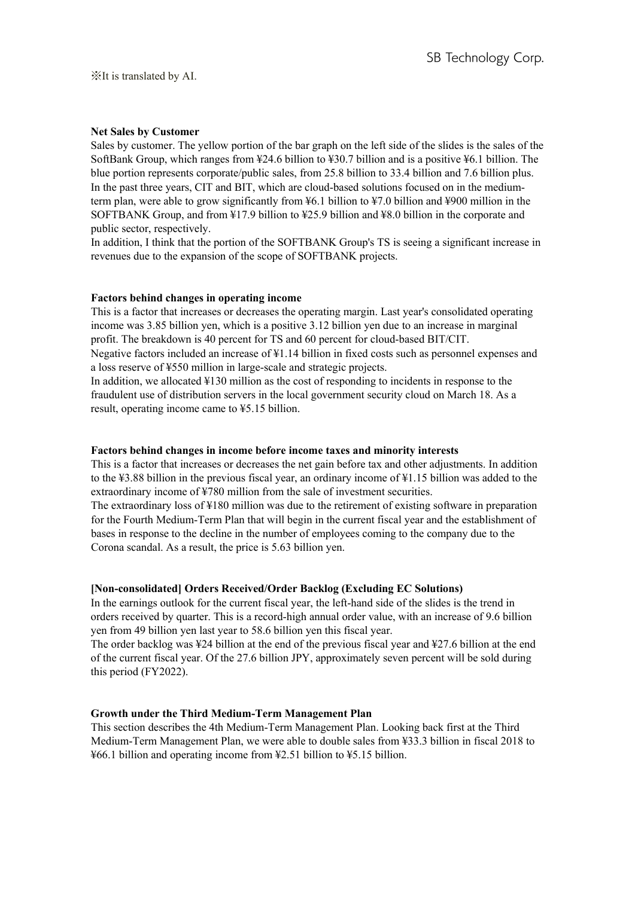# **Net Sales by Customer**

Sales by customer. The yellow portion of the bar graph on the left side of the slides is the sales of the SoftBank Group, which ranges from ¥24.6 billion to ¥30.7 billion and is a positive ¥6.1 billion. The blue portion represents corporate/public sales, from 25.8 billion to 33.4 billion and 7.6 billion plus. In the past three years, CIT and BIT, which are cloud-based solutions focused on in the mediumterm plan, were able to grow significantly from ¥6.1 billion to ¥7.0 billion and ¥900 million in the SOFTBANK Group, and from ¥17.9 billion to ¥25.9 billion and ¥8.0 billion in the corporate and public sector, respectively.

In addition, I think that the portion of the SOFTBANK Group's TS is seeing a significant increase in revenues due to the expansion of the scope of SOFTBANK projects.

#### **Factors behind changes in operating income**

This is a factor that increases or decreases the operating margin. Last year's consolidated operating income was 3.85 billion yen, which is a positive 3.12 billion yen due to an increase in marginal profit. The breakdown is 40 percent for TS and 60 percent for cloud-based BIT/CIT.

Negative factors included an increase of ¥1.14 billion in fixed costs such as personnel expenses and a loss reserve of ¥550 million in large-scale and strategic projects.

In addition, we allocated ¥130 million as the cost of responding to incidents in response to the fraudulent use of distribution servers in the local government security cloud on March 18. As a result, operating income came to ¥5.15 billion.

# **Factors behind changes in income before income taxes and minority interests**

This is a factor that increases or decreases the net gain before tax and other adjustments. In addition to the ¥3.88 billion in the previous fiscal year, an ordinary income of ¥1.15 billion was added to the extraordinary income of ¥780 million from the sale of investment securities.

The extraordinary loss of ¥180 million was due to the retirement of existing software in preparation for the Fourth Medium-Term Plan that will begin in the current fiscal year and the establishment of bases in response to the decline in the number of employees coming to the company due to the Corona scandal. As a result, the price is 5.63 billion yen.

## **[Non-consolidated] Orders Received/Order Backlog (Excluding EC Solutions)**

In the earnings outlook for the current fiscal year, the left-hand side of the slides is the trend in orders received by quarter. This is a record-high annual order value, with an increase of 9.6 billion yen from 49 billion yen last year to 58.6 billion yen this fiscal year.

The order backlog was ¥24 billion at the end of the previous fiscal year and ¥27.6 billion at the end of the current fiscal year. Of the 27.6 billion JPY, approximately seven percent will be sold during this period (FY2022).

#### **Growth under the Third Medium-Term Management Plan**

This section describes the 4th Medium-Term Management Plan. Looking back first at the Third Medium-Term Management Plan, we were able to double sales from ¥33.3 billion in fiscal 2018 to ¥66.1 billion and operating income from ¥2.51 billion to ¥5.15 billion.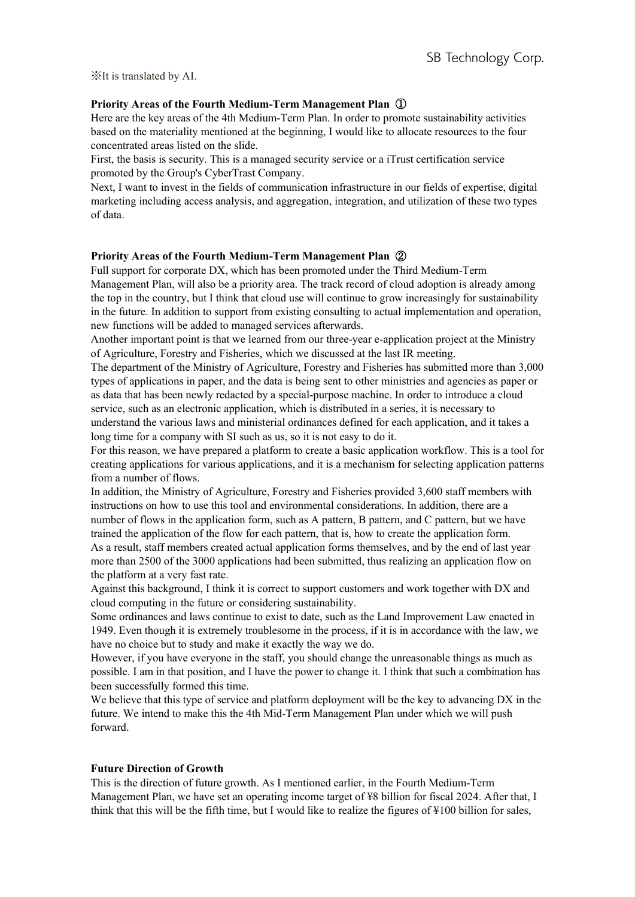# **Priority Areas of the Fourth Medium-Term Management Plan** ①

Here are the key areas of the 4th Medium-Term Plan. In order to promote sustainability activities based on the materiality mentioned at the beginning, I would like to allocate resources to the four concentrated areas listed on the slide.

First, the basis is security. This is a managed security service or a iTrust certification service promoted by the Group's CyberTrast Company.

Next, I want to invest in the fields of communication infrastructure in our fields of expertise, digital marketing including access analysis, and aggregation, integration, and utilization of these two types of data.

# **Priority Areas of the Fourth Medium-Term Management Plan** ②

Full support for corporate DX, which has been promoted under the Third Medium-Term Management Plan, will also be a priority area. The track record of cloud adoption is already among the top in the country, but I think that cloud use will continue to grow increasingly for sustainability in the future. In addition to support from existing consulting to actual implementation and operation, new functions will be added to managed services afterwards.

Another important point is that we learned from our three-year e-application project at the Ministry of Agriculture, Forestry and Fisheries, which we discussed at the last IR meeting.

The department of the Ministry of Agriculture, Forestry and Fisheries has submitted more than 3,000 types of applications in paper, and the data is being sent to other ministries and agencies as paper or as data that has been newly redacted by a special-purpose machine. In order to introduce a cloud service, such as an electronic application, which is distributed in a series, it is necessary to understand the various laws and ministerial ordinances defined for each application, and it takes a long time for a company with SI such as us, so it is not easy to do it.

For this reason, we have prepared a platform to create a basic application workflow. This is a tool for creating applications for various applications, and it is a mechanism for selecting application patterns from a number of flows.

In addition, the Ministry of Agriculture, Forestry and Fisheries provided 3,600 staff members with instructions on how to use this tool and environmental considerations. In addition, there are a number of flows in the application form, such as A pattern, B pattern, and C pattern, but we have trained the application of the flow for each pattern, that is, how to create the application form. As a result, staff members created actual application forms themselves, and by the end of last year

more than 2500 of the 3000 applications had been submitted, thus realizing an application flow on the platform at a very fast rate.

Against this background, I think it is correct to support customers and work together with DX and cloud computing in the future or considering sustainability.

Some ordinances and laws continue to exist to date, such as the Land Improvement Law enacted in 1949. Even though it is extremely troublesome in the process, if it is in accordance with the law, we have no choice but to study and make it exactly the way we do.

However, if you have everyone in the staff, you should change the unreasonable things as much as possible. I am in that position, and I have the power to change it. I think that such a combination has been successfully formed this time.

We believe that this type of service and platform deployment will be the key to advancing DX in the future. We intend to make this the 4th Mid-Term Management Plan under which we will push forward.

# **Future Direction of Growth**

This is the direction of future growth. As I mentioned earlier, in the Fourth Medium-Term Management Plan, we have set an operating income target of ¥8 billion for fiscal 2024. After that, I think that this will be the fifth time, but I would like to realize the figures of ¥100 billion for sales,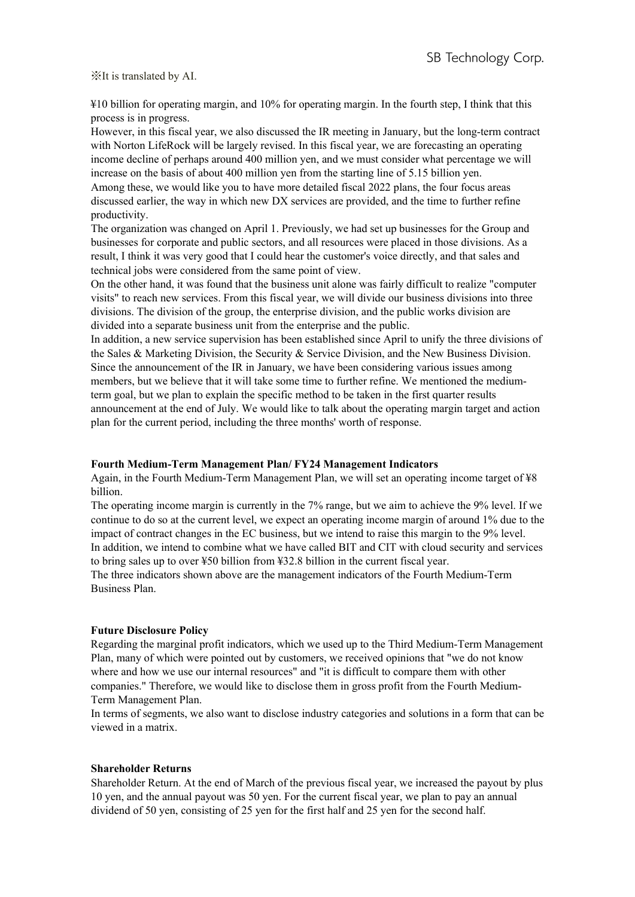¥10 billion for operating margin, and 10% for operating margin. In the fourth step, I think that this process is in progress.

However, in this fiscal year, we also discussed the IR meeting in January, but the long-term contract with Norton LifeRock will be largely revised. In this fiscal year, we are forecasting an operating income decline of perhaps around 400 million yen, and we must consider what percentage we will increase on the basis of about 400 million yen from the starting line of 5.15 billion yen. Among these, we would like you to have more detailed fiscal 2022 plans, the four focus areas discussed earlier, the way in which new DX services are provided, and the time to further refine productivity.

The organization was changed on April 1. Previously, we had set up businesses for the Group and businesses for corporate and public sectors, and all resources were placed in those divisions. As a result, I think it was very good that I could hear the customer's voice directly, and that sales and technical jobs were considered from the same point of view.

On the other hand, it was found that the business unit alone was fairly difficult to realize "computer visits" to reach new services. From this fiscal year, we will divide our business divisions into three divisions. The division of the group, the enterprise division, and the public works division are divided into a separate business unit from the enterprise and the public.

In addition, a new service supervision has been established since April to unify the three divisions of the Sales & Marketing Division, the Security & Service Division, and the New Business Division. Since the announcement of the IR in January, we have been considering various issues among members, but we believe that it will take some time to further refine. We mentioned the mediumterm goal, but we plan to explain the specific method to be taken in the first quarter results announcement at the end of July. We would like to talk about the operating margin target and action plan for the current period, including the three months' worth of response.

# **Fourth Medium-Term Management Plan/ FY24 Management Indicators**

Again, in the Fourth Medium-Term Management Plan, we will set an operating income target of ¥8 billion.

The operating income margin is currently in the 7% range, but we aim to achieve the 9% level. If we continue to do so at the current level, we expect an operating income margin of around 1% due to the impact of contract changes in the EC business, but we intend to raise this margin to the 9% level. In addition, we intend to combine what we have called BIT and CIT with cloud security and services to bring sales up to over ¥50 billion from ¥32.8 billion in the current fiscal year. The three indicators shown above are the management indicators of the Fourth Medium-Term

Business Plan.

# **Future Disclosure Policy**

Regarding the marginal profit indicators, which we used up to the Third Medium-Term Management Plan, many of which were pointed out by customers, we received opinions that "we do not know where and how we use our internal resources" and "it is difficult to compare them with other companies." Therefore, we would like to disclose them in gross profit from the Fourth Medium-Term Management Plan.

In terms of segments, we also want to disclose industry categories and solutions in a form that can be viewed in a matrix.

# **Shareholder Returns**

Shareholder Return. At the end of March of the previous fiscal year, we increased the payout by plus 10 yen, and the annual payout was 50 yen. For the current fiscal year, we plan to pay an annual dividend of 50 yen, consisting of 25 yen for the first half and 25 yen for the second half.